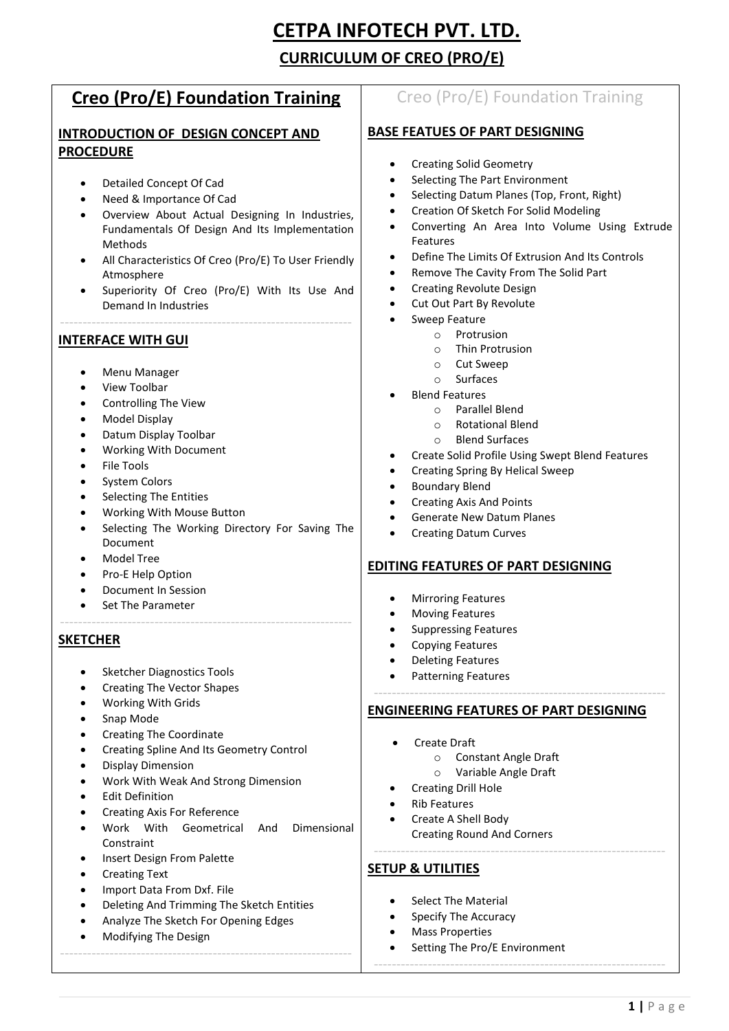# **CETPA INFOTECH PVT. LTD. CURRICULUM OF CREO (PRO/E)**

## **Creo (Pro/E) Foundation Training**

## **INTRODUCTION OF DESIGN CONCEPT AND PROCEDURE**

- Detailed Concept Of Cad
- Need & Importance Of Cad
- Overview About Actual Designing In Industries, Fundamentals Of Design And Its Implementation Methods
- All Characteristics Of Creo (Pro/E) To User Friendly Atmosphere
- Superiority Of Creo (Pro/E) With Its Use And Demand In Industries

-----------------------------------------------------------------

## **INTERFACE WITH GUI**

- Menu Manager
- View Toolbar
- Controlling The View
- Model Display
- Datum Display Toolbar
- Working With Document
- File Tools
- System Colors
- Selecting The Entities
- Working With Mouse Button
- Selecting The Working Directory For Saving The Document

-----------------------------------------------------------------

- Model Tree
- Pro-E Help Option
- Document In Session
- Set The Parameter

## **SKETCHER**

- Sketcher Diagnostics Tools
- Creating The Vector Shapes
- Working With Grids
- Snap Mode
- Creating The Coordinate
- Creating Spline And Its Geometry Control
- Display Dimension
- Work With Weak And Strong Dimension
- Edit Definition
- Creating Axis For Reference
- Work With Geometrical And Dimensional **Constraint**
- Insert Design From Palette
- Creating Text
- Import Data From Dxf. File
- Deleting And Trimming The Sketch Entities
- Analyze The Sketch For Opening Edges
- Modifying The Design -----------------------------------------------------------------

## Creo (Pro/E) Foundation Training

## **BASE FEATUES OF PART DESIGNING**

- Creating Solid Geometry
- Selecting The Part Environment
- Selecting Datum Planes (Top, Front, Right)
- Creation Of Sketch For Solid Modeling
- Converting An Area Into Volume Using Extrude Features
- Define The Limits Of Extrusion And Its Controls
- Remove The Cavity From The Solid Part
- Creating Revolute Design
- Cut Out Part By Revolute
- Sweep Feature
	- o Protrusion
		- o Thin Protrusion
		- o Cut Sweep
		- o Surfaces
- Blend Features
	- o Parallel Blend
	- o Rotational Blend
	- o Blend Surfaces
- Create Solid Profile Using Swept Blend Features
- Creating Spring By Helical Sweep
- Boundary Blend
- Creating Axis And Points
- Generate New Datum Planes
- Creating Datum Curves

## **EDITING FEATURES OF PART DESIGNING**

- Mirroring Features
- Moving Features
- Suppressing Features
- Copying Features
- Deleting Features
- Patterning Features

#### **ENGINEERING FEATURES OF PART DESIGNING**

-----------------------------------------------------------------

-----------------------------------------------------------------

-----------------------------------------------------------------

- Create Draft
	- o Constant Angle Draft
	- o Variable Angle Draft
	- Creating Drill Hole
- Rib Features
- Create A Shell Body Creating Round And Corners

## **SETUP & UTILITIES**

- Select The Material
- Specify The Accuracy
- Mass Properties
- Setting The Pro/E Environment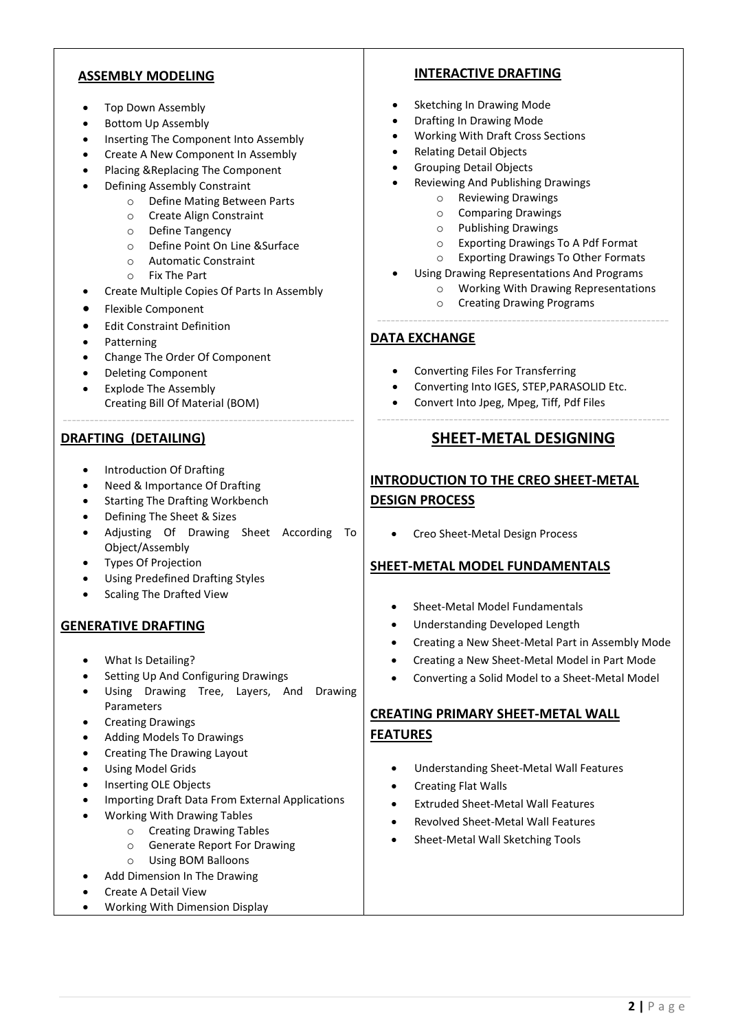## **ASSEMBLY MODELING**

- Top Down Assembly
- Bottom Up Assembly
- Inserting The Component Into Assembly
- Create A New Component In Assembly
- Placing &Replacing The Component
- Defining Assembly Constraint
	- o Define Mating Between Parts
	- o Create Align Constraint
	- o Define Tangency
	- o Define Point On Line &Surface
	- o Automatic Constraint
	- o Fix The Part
- Create Multiple Copies Of Parts In Assembly

-----------------------------------------------------------------

- Flexible Component
- Edit Constraint Definition
- Patterning
- Change The Order Of Component
- Deleting Component
- Explode The Assembly Creating Bill Of Material (BOM)

## **DRAFTING (DETAILING)**

- Introduction Of Drafting
- Need & Importance Of Drafting
- Starting The Drafting Workbench
- Defining The Sheet & Sizes
- Adjusting Of Drawing Sheet According To Object/Assembly
- Types Of Projection
- Using Predefined Drafting Styles
- Scaling The Drafted View

## **GENERATIVE DRAFTING**

- What Is Detailing?
- Setting Up And Configuring Drawings
- Using Drawing Tree, Layers, And Drawing Parameters
- Creating Drawings
- Adding Models To Drawings
- Creating The Drawing Layout
- Using Model Grids
- Inserting OLE Objects
- Importing Draft Data From External Applications
- Working With Drawing Tables
	- o Creating Drawing Tables
	- o Generate Report For Drawing
	- o Using BOM Balloons
	- Add Dimension In The Drawing
- Create A Detail View
- Working With Dimension Display

## **INTERACTIVE DRAFTING**

- Sketching In Drawing Mode
- Drafting In Drawing Mode
- Working With Draft Cross Sections
- Relating Detail Objects
- Grouping Detail Objects
- Reviewing And Publishing Drawings
	- o Reviewing Drawings
	- o Comparing Drawings
	- o Publishing Drawings
	- o Exporting Drawings To A Pdf Format
	- o Exporting Drawings To Other Formats
	- Using Drawing Representations And Programs
		- o Working With Drawing Representations
- o Creating Drawing Programs -----------------------------------------------------------------

## **DATA EXCHANGE**

- Converting Files For Transferring
- Converting Into IGES, STEP,PARASOLID Etc.
- Convert Into Jpeg, Mpeg, Tiff, Pdf Files

## ----------------------------------------------------------------- **SHEET-METAL DESIGNING**

## **INTRODUCTION TO THE CREO SHEET-METAL DESIGN PROCESS**

• Creo Sheet-Metal Design Process

## **SHEET-METAL MODEL FUNDAMENTALS**

- Sheet-Metal Model Fundamentals
- Understanding Developed Length
- Creating a New Sheet-Metal Part in Assembly Mode
- Creating a New Sheet-Metal Model in Part Mode
- Converting a Solid Model to a Sheet-Metal Model

## **CREATING PRIMARY SHEET-METAL WALL FEATURES**

- Understanding Sheet-Metal Wall Features
- Creating Flat Walls
- Extruded Sheet-Metal Wall Features
- Revolved Sheet-Metal Wall Features
- Sheet-Metal Wall Sketching Tools